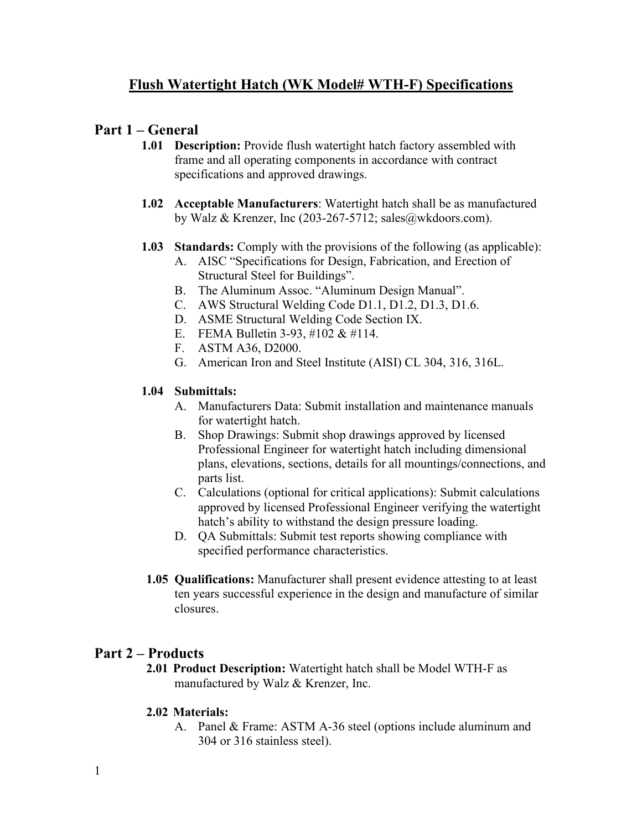# **Flush Watertight Hatch (WK Model# WTH-F) Specifications**

# **Part 1 – General**

- **1.01 Description:** Provide flush watertight hatch factory assembled with frame and all operating components in accordance with contract specifications and approved drawings.
- **1.02 Acceptable Manufacturers**: Watertight hatch shall be as manufactured by Walz & Krenzer, Inc (203-267-5712; sales@wkdoors.com).
- **1.03 Standards:** Comply with the provisions of the following (as applicable):
	- A. AISC "Specifications for Design, Fabrication, and Erection of Structural Steel for Buildings".
	- B. The Aluminum Assoc. "Aluminum Design Manual".
	- C. AWS Structural Welding Code D1.1, D1.2, D1.3, D1.6.
	- D. ASME Structural Welding Code Section IX.
	- E. FEMA Bulletin 3-93, #102 & #114.
	- F. ASTM A36, D2000.
	- G. American Iron and Steel Institute (AISI) CL 304, 316, 316L.

### **1.04 Submittals:**

- A. Manufacturers Data: Submit installation and maintenance manuals for watertight hatch.
- B. Shop Drawings: Submit shop drawings approved by licensed Professional Engineer for watertight hatch including dimensional plans, elevations, sections, details for all mountings/connections, and parts list.
- C. Calculations (optional for critical applications): Submit calculations approved by licensed Professional Engineer verifying the watertight hatch's ability to withstand the design pressure loading.
- D. QA Submittals: Submit test reports showing compliance with specified performance characteristics.
- **1.05 Qualifications:** Manufacturer shall present evidence attesting to at least ten years successful experience in the design and manufacture of similar closures.

# **Part 2 – Products**

**2.01 Product Description:** Watertight hatch shall be Model WTH-F as manufactured by Walz & Krenzer, Inc.

#### **2.02 Materials:**

A. Panel & Frame: ASTM A-36 steel (options include aluminum and 304 or 316 stainless steel).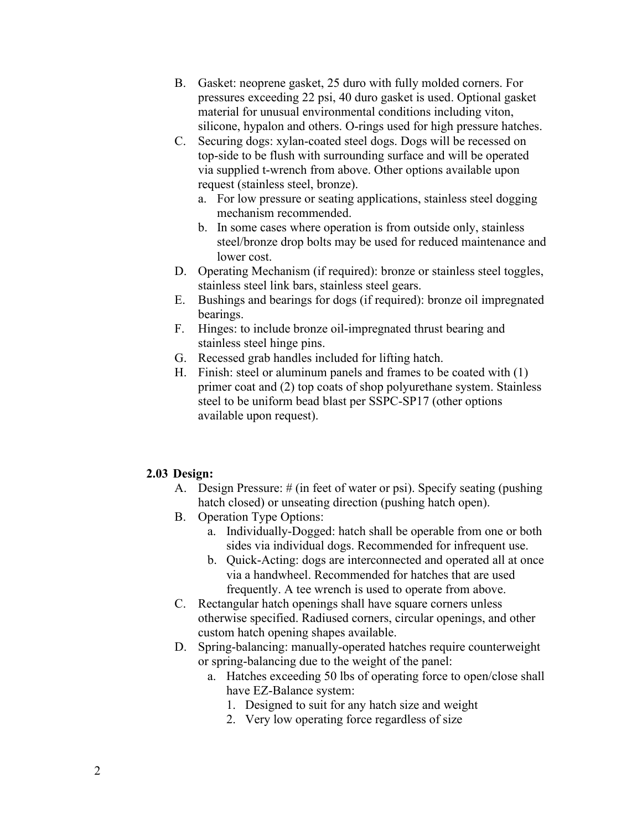- B. Gasket: neoprene gasket, 25 duro with fully molded corners. For pressures exceeding 22 psi, 40 duro gasket is used. Optional gasket material for unusual environmental conditions including viton, silicone, hypalon and others. O-rings used for high pressure hatches.
- C. Securing dogs: xylan-coated steel dogs. Dogs will be recessed on top-side to be flush with surrounding surface and will be operated via supplied t-wrench from above. Other options available upon request (stainless steel, bronze).
	- a. For low pressure or seating applications, stainless steel dogging mechanism recommended.
	- b. In some cases where operation is from outside only, stainless steel/bronze drop bolts may be used for reduced maintenance and lower cost.
- D. Operating Mechanism (if required): bronze or stainless steel toggles, stainless steel link bars, stainless steel gears.
- E. Bushings and bearings for dogs (if required): bronze oil impregnated bearings.
- F. Hinges: to include bronze oil-impregnated thrust bearing and stainless steel hinge pins.
- G. Recessed grab handles included for lifting hatch.
- H. Finish: steel or aluminum panels and frames to be coated with (1) primer coat and (2) top coats of shop polyurethane system. Stainless steel to be uniform bead blast per SSPC-SP17 (other options available upon request).

#### **2.03 Design:**

- A. Design Pressure: # (in feet of water or psi). Specify seating (pushing hatch closed) or unseating direction (pushing hatch open).
- B. Operation Type Options:
	- a. Individually-Dogged: hatch shall be operable from one or both sides via individual dogs. Recommended for infrequent use.
	- b. Quick-Acting: dogs are interconnected and operated all at once via a handwheel. Recommended for hatches that are used frequently. A tee wrench is used to operate from above.
- C. Rectangular hatch openings shall have square corners unless otherwise specified. Radiused corners, circular openings, and other custom hatch opening shapes available.
- D. Spring-balancing: manually-operated hatches require counterweight or spring-balancing due to the weight of the panel:
	- a. Hatches exceeding 50 lbs of operating force to open/close shall have EZ-Balance system:
		- 1. Designed to suit for any hatch size and weight
		- 2. Very low operating force regardless of size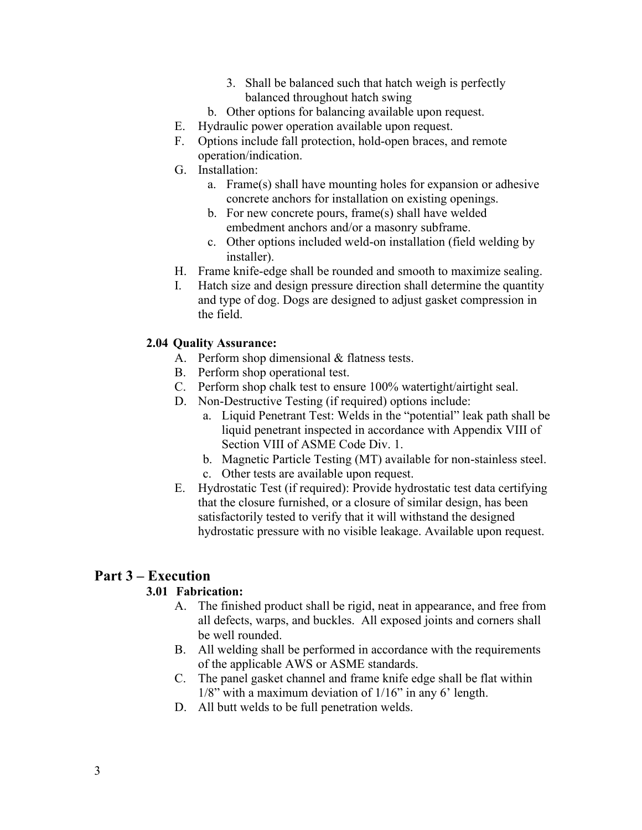- 3. Shall be balanced such that hatch weigh is perfectly balanced throughout hatch swing
- b. Other options for balancing available upon request.
- E. Hydraulic power operation available upon request.
- F. Options include fall protection, hold-open braces, and remote operation/indication.
- G. Installation:
	- a. Frame(s) shall have mounting holes for expansion or adhesive concrete anchors for installation on existing openings.
	- b. For new concrete pours, frame(s) shall have welded embedment anchors and/or a masonry subframe.
	- c. Other options included weld-on installation (field welding by installer).
- H. Frame knife-edge shall be rounded and smooth to maximize sealing.
- I. Hatch size and design pressure direction shall determine the quantity and type of dog. Dogs are designed to adjust gasket compression in the field.

### **2.04 Quality Assurance:**

- A. Perform shop dimensional & flatness tests.
- B. Perform shop operational test.
- C. Perform shop chalk test to ensure 100% watertight/airtight seal.
- D. Non-Destructive Testing (if required) options include:
	- a. Liquid Penetrant Test: Welds in the "potential" leak path shall be liquid penetrant inspected in accordance with Appendix VIII of Section VIII of ASME Code Div. 1.
	- b. Magnetic Particle Testing (MT) available for non-stainless steel.
	- c. Other tests are available upon request.
- E. Hydrostatic Test (if required): Provide hydrostatic test data certifying that the closure furnished, or a closure of similar design, has been satisfactorily tested to verify that it will withstand the designed hydrostatic pressure with no visible leakage. Available upon request.

## **Part 3 – Execution**

## **3.01 Fabrication:**

- A. The finished product shall be rigid, neat in appearance, and free from all defects, warps, and buckles. All exposed joints and corners shall be well rounded.
- B. All welding shall be performed in accordance with the requirements of the applicable AWS or ASME standards.
- C. The panel gasket channel and frame knife edge shall be flat within 1/8" with a maximum deviation of 1/16" in any 6' length.
- D. All butt welds to be full penetration welds.